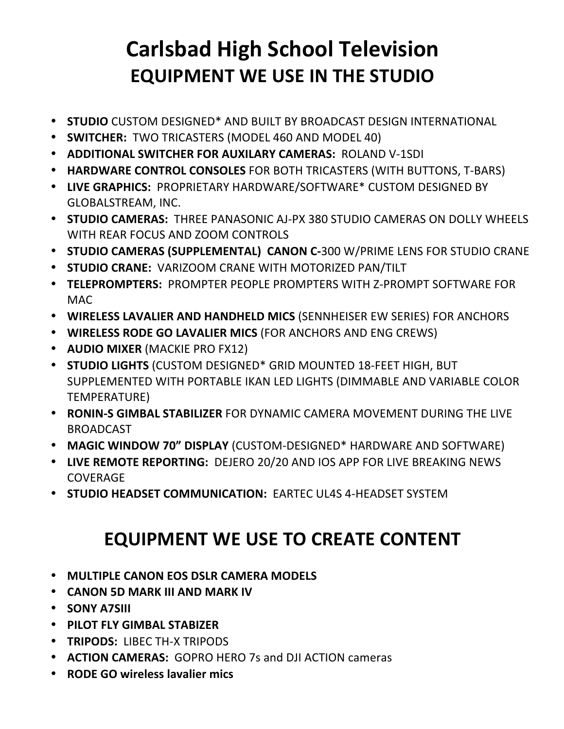## **Carlsbad High School Television EQUIPMENT WE USE IN THE STUDIO**

- **STUDIO** CUSTOM DESIGNED<sup>\*</sup> AND BUILT BY BROADCAST DESIGN INTERNATIONAL
- **SWITCHER:** TWO TRICASTERS (MODEL 460 AND MODEL 40)
- **ADDITIONAL SWITCHER FOR AUXILARY CAMERAS: ROLAND V-1SDI**
- **HARDWARE CONTROL CONSOLES** FOR BOTH TRICASTERS (WITH BUTTONS, T-BARS)
- LIVE GRAPHICS: PROPRIETARY HARDWARE/SOFTWARE\* CUSTOM DESIGNED BY GLOBALSTREAM, INC.
- **STUDIO CAMERAS:** THREE PANASONIC AJ-PX 380 STUDIO CAMERAS ON DOLLY WHEELS WITH REAR FOCUS AND ZOOM CONTROLS
- **STUDIO CAMERAS (SUPPLEMENTAL) CANON C-300 W/PRIME LENS FOR STUDIO CRANE**
- **STUDIO CRANE: VARIZOOM CRANE WITH MOTORIZED PAN/TILT**
- **TELEPROMPTERS: PROMPTER PEOPLE PROMPTERS WITH Z-PROMPT SOFTWARE FOR** MAC
- WIRELESS LAVALIER AND HANDHELD MICS (SENNHEISER EW SERIES) FOR ANCHORS
- **WIRELESS RODE GO LAVALIER MICS** (FOR ANCHORS AND ENG CREWS)
- **AUDIO MIXER** (MACKIE PRO FX12)
- **STUDIO LIGHTS** (CUSTOM DESIGNED<sup>\*</sup> GRID MOUNTED 18-FEET HIGH, BUT SUPPLEMENTED WITH PORTABLE IKAN LED LIGHTS (DIMMABLE AND VARIABLE COLOR TEMPERATURE)
- **RONIN-S GIMBAL STABILIZER** FOR DYNAMIC CAMERA MOVEMENT DURING THE LIVE BROADCAST
- MAGIC WINDOW 70" DISPLAY (CUSTOM-DESIGNED<sup>\*</sup> HARDWARE AND SOFTWARE)
- LIVE REMOTE REPORTING: DEJERO 20/20 AND IOS APP FOR LIVE BREAKING NEWS COVERAGE
- **STUDIO HEADSET COMMUNICATION: EARTEC UL4S 4-HEADSET SYSTEM**

## **EQUIPMENT WE USE TO CREATE CONTENT**

- **MULTIPLE CANON EOS DSLR CAMERA MODELS**
- **CANON 5D MARK III AND MARK IV**
- **SONY A7SIII**
- **PILOT FLY GIMBAL STABIZER**
- **TRIPODS: LIBEC TH-X TRIPODS**
- **ACTION CAMERAS:** GOPRO HERO 7s and DJI ACTION cameras
- **RODE GO wireless lavalier mics**